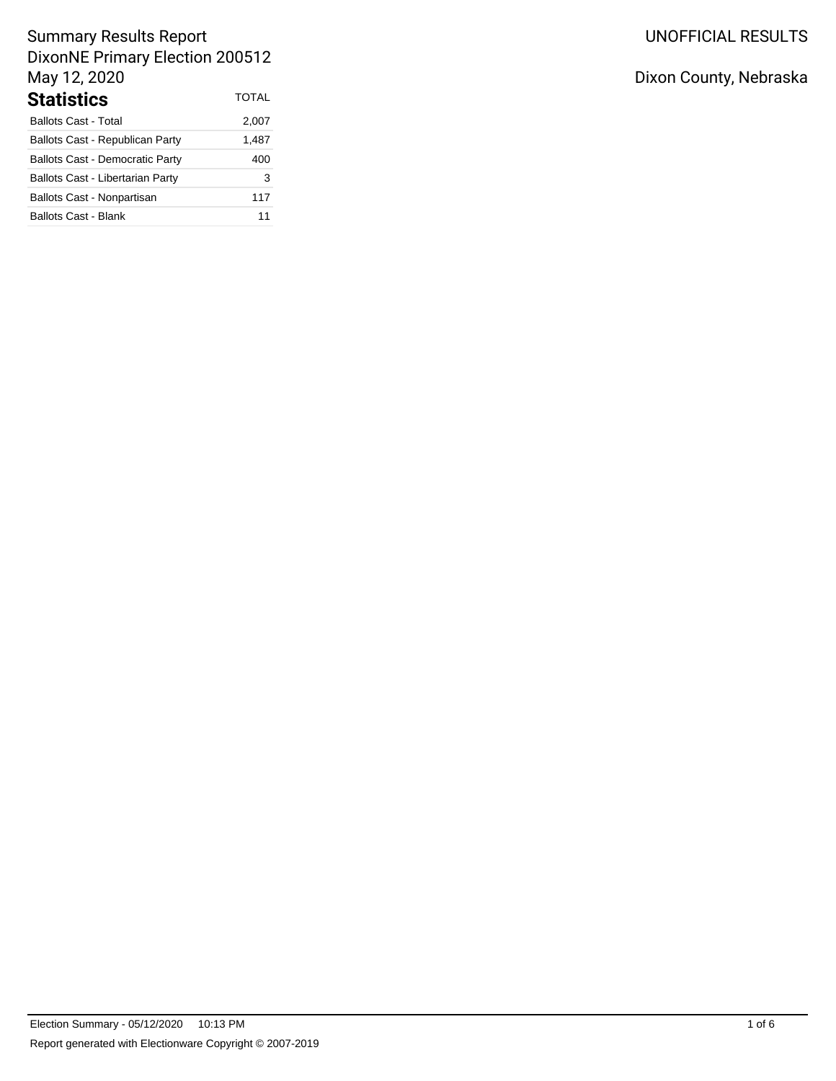# UNOFFICIAL RESULTS

# Summary Results Report DixonNE Primary Election 200512 May 12, 2020

| <b>Statistics</b>                       | TOTAL |
|-----------------------------------------|-------|
| <b>Ballots Cast - Total</b>             | 2,007 |
| Ballots Cast - Republican Party         | 1,487 |
| <b>Ballots Cast - Democratic Party</b>  | 400   |
| <b>Ballots Cast - Libertarian Party</b> | 3     |
| Ballots Cast - Nonpartisan              | 117   |
| <b>Ballots Cast - Blank</b>             | 11    |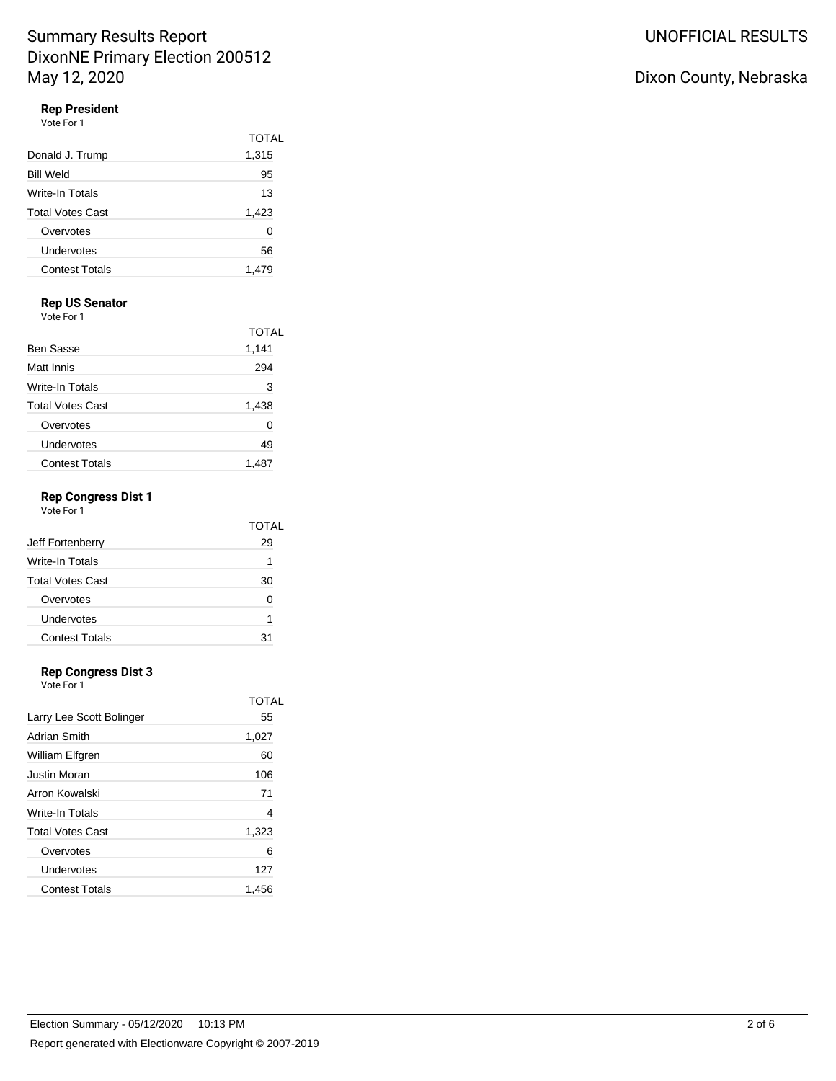## **Rep President**

| Vote For 1              |              |  |
|-------------------------|--------------|--|
|                         | <b>TOTAL</b> |  |
| Donald J. Trump         | 1,315        |  |
| <b>Bill Weld</b>        | 95           |  |
| Write-In Totals         | 13           |  |
| <b>Total Votes Cast</b> | 1,423        |  |
| Overvotes               | 0            |  |
| Undervotes              | 56           |  |
| <b>Contest Totals</b>   | 1.479        |  |

### **Rep US Senator**

Vote For 1

|                         | <b>TOTAL</b> |
|-------------------------|--------------|
| Ben Sasse               | 1,141        |
| Matt Innis              | 294          |
| Write-In Totals         | 3            |
| <b>Total Votes Cast</b> | 1,438        |
| Overvotes               | 0            |
| Undervotes              | 49           |
| <b>Contest Totals</b>   | 1.487        |

## **Rep Congress Dist 1**

| Vote For 1              |       |
|-------------------------|-------|
|                         | TOTAL |
| Jeff Fortenberry        | 29    |
| Write-In Totals         | 1     |
| <b>Total Votes Cast</b> | 30    |
| Overvotes               | ŋ     |
| Undervotes              | 1     |
| <b>Contest Totals</b>   | 31    |
|                         |       |

### **Rep Congress Dist 3**

Vote For 1

|                          | TOTAI |
|--------------------------|-------|
| Larry Lee Scott Bolinger | 55    |
| Adrian Smith             | 1,027 |
| William Elfgren          | 60    |
| Justin Moran             | 106   |
| Arron Kowalski           | 71    |
| <b>Write-In Totals</b>   | 4     |
| <b>Total Votes Cast</b>  | 1,323 |
| Overvotes                | 6     |
| Undervotes               | 127   |
| <b>Contest Totals</b>    | 1.456 |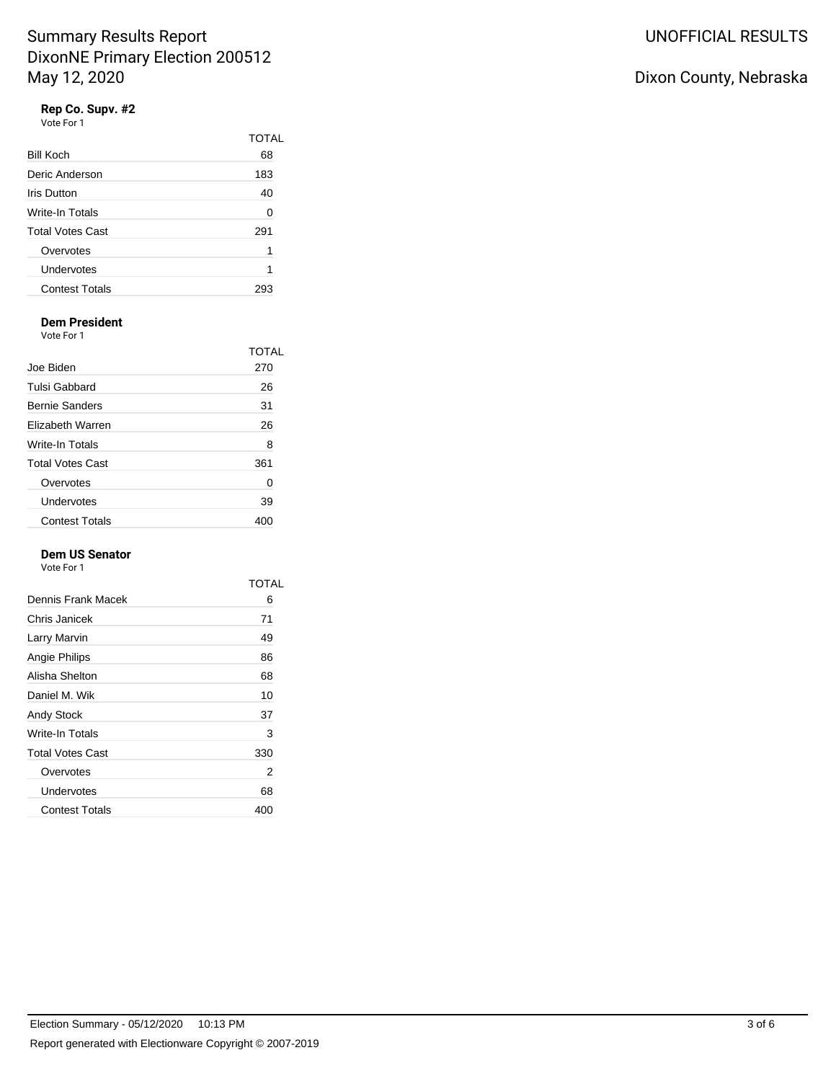### **Rep Co. Supv. #2**

| Vote For 1     |      |
|----------------|------|
|                | TOT. |
| Bill Koch      | 68   |
| Dorio Andorcon | 102  |

| Deric Anderson          | 183 |
|-------------------------|-----|
| <b>Iris Dutton</b>      | 40  |
| Write-In Totals         |     |
| <b>Total Votes Cast</b> | 291 |
| Overvotes               |     |
| Undervotes              |     |
| <b>Contest Totals</b>   |     |

TOTAL

### **Dem President**

Vote For 1

|                         | TOTAL |
|-------------------------|-------|
| Joe Biden               | 270   |
| Tulsi Gabbard           | 26    |
| <b>Bernie Sanders</b>   | 31    |
| Flizabeth Warren        | 26    |
| Write-In Totals         | 8     |
| <b>Total Votes Cast</b> | 361   |
| Overvotes               | 0     |
| Undervotes              | 39    |
| <b>Contest Totals</b>   | 40C   |

### **Dem US Senator**

Vote For 1

|                         | TOTAL |
|-------------------------|-------|
| Dennis Frank Macek      | 6     |
| Chris Janicek           | 71    |
| Larry Marvin            | 49    |
| Angie Philips           | 86    |
| Alisha Shelton          | 68    |
| Daniel M. Wik           | 10    |
| Andy Stock              | 37    |
| Write-In Totals         | 3     |
| <b>Total Votes Cast</b> | 330   |
| Overvotes               | 2     |
| Undervotes              | 68    |
| <b>Contest Totals</b>   | 400   |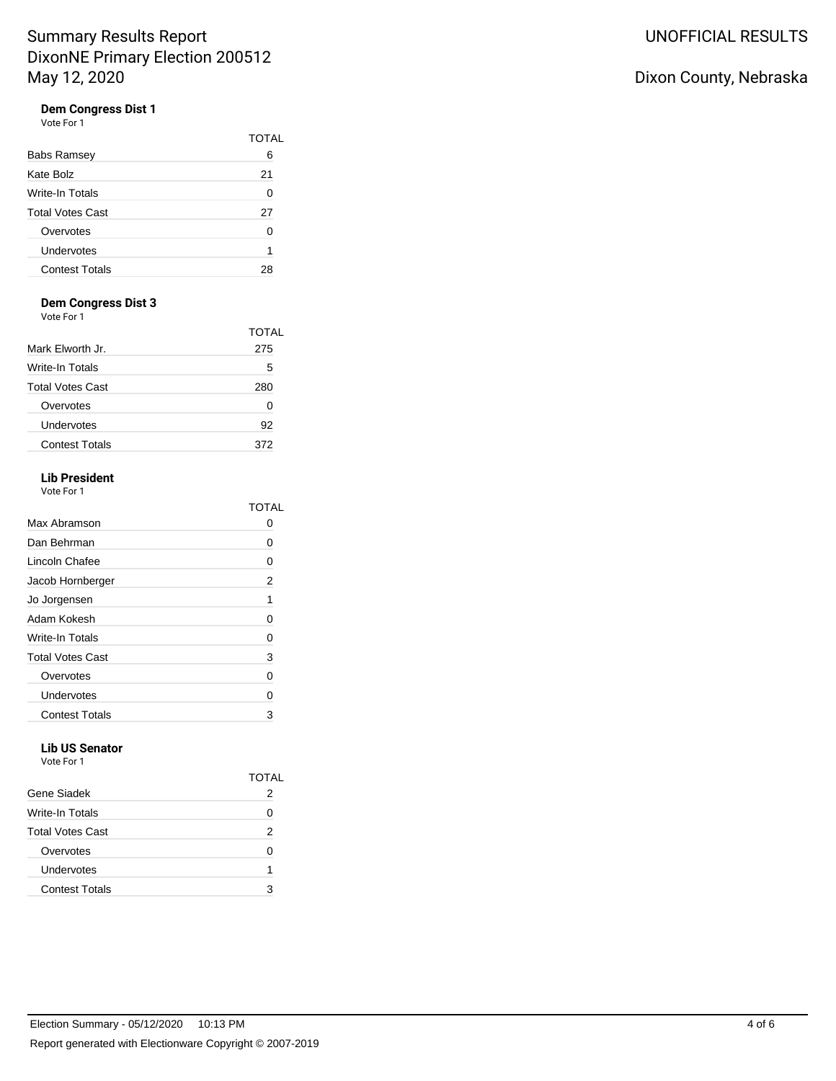### **Dem Congress Dist 1**

Vote For 1

|                         | TOTAL |
|-------------------------|-------|
| <b>Babs Ramsey</b>      | 6     |
| Kate Bolz               | 21    |
| Write-In Totals         | 0     |
| <b>Total Votes Cast</b> | 27    |
| Overvotes               | 0     |
| Undervotes              | 1     |
| <b>Contest Totals</b>   | 28    |
|                         |       |

### **Dem Congress Dist 3**

Vote For 1

| <u>vuusi uli</u>        |              |
|-------------------------|--------------|
|                         | <b>TOTAL</b> |
| Mark Elworth Jr.        | 275          |
| Write-In Totals         | 5            |
| <b>Total Votes Cast</b> | 280          |
| Overvotes               | 0            |
| Undervotes              | 92           |
| <b>Contest Totals</b>   | 372          |
|                         |              |

#### **Lib President**  $\cdot$  1

| Vote For |  |
|----------|--|
|----------|--|

|                         | TOTAL |
|-------------------------|-------|
| Max Abramson            | 0     |
| Dan Behrman             | 0     |
| Lincoln Chafee          | 0     |
| Jacob Hornberger        | 2     |
| Jo Jorgensen            | 1     |
| Adam Kokesh             | 0     |
| Write-In Totals         | 0     |
| <b>Total Votes Cast</b> | 3     |
| Overvotes               | 0     |
| Undervotes              | 0     |
| <b>Contest Totals</b>   | 3     |

#### **Lib US Senator** Vote For 1

| .                       |       |
|-------------------------|-------|
|                         | TOTAI |
| Gene Siadek             | 2     |
| Write-In Totals         | 0     |
| <b>Total Votes Cast</b> | 2     |
| Overvotes               | 0     |
| Undervotes              | 1     |
| <b>Contest Totals</b>   | 3     |
|                         |       |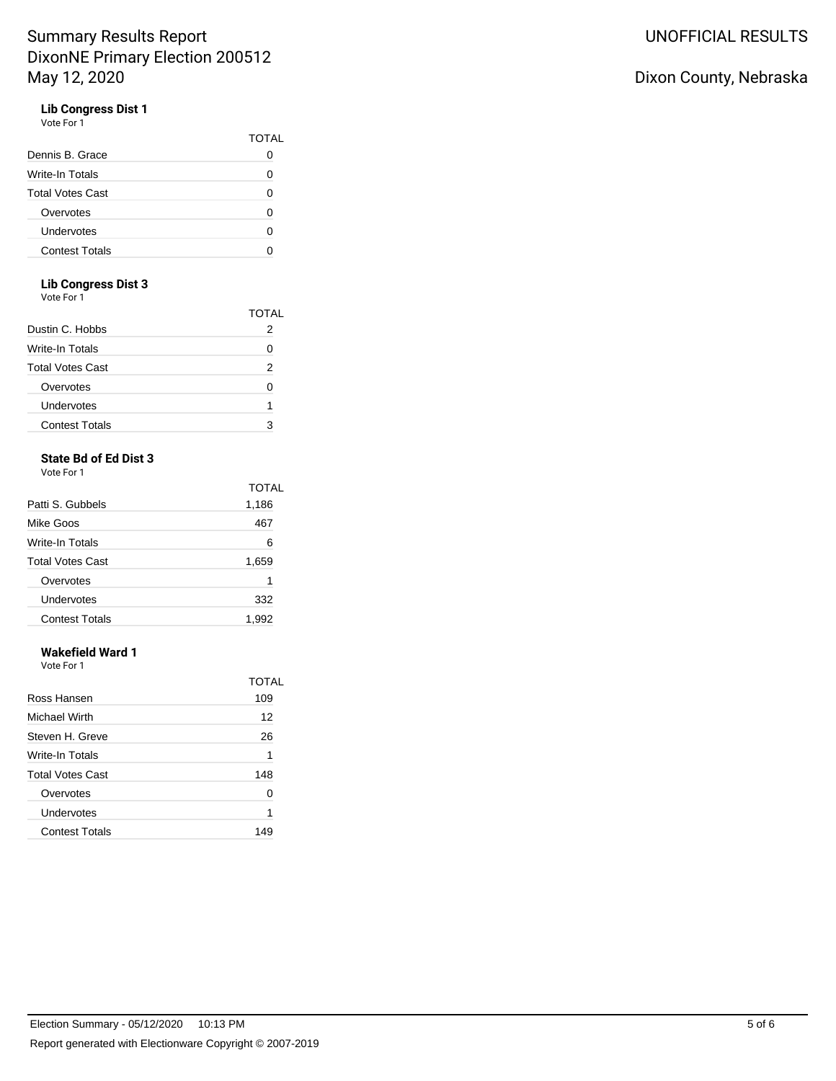## **Lib Congress Dist 1**

| Vote For 1 |  |  |
|------------|--|--|
|            |  |  |

|                         | TOTAL |
|-------------------------|-------|
| Dennis B. Grace         |       |
| Write-In Totals         | 0     |
| <b>Total Votes Cast</b> | ი     |
| Overvotes               | 0     |
| Undervotes              | ი     |
| <b>Contest Totals</b>   |       |

### **Lib Congress Dist 3**

Vote For 1

|                         | TOTAL    |
|-------------------------|----------|
| Dustin C. Hobbs         | 2        |
| Write-In Totals         | $\lceil$ |
| <b>Total Votes Cast</b> | 2        |
| Overvotes               | O        |
| Undervotes              |          |
| <b>Contest Totals</b>   | 3        |
|                         |          |

## **State Bd of Ed Dist 3**

Vote For 1

|                         | <b>TOTAL</b> |
|-------------------------|--------------|
| Patti S. Gubbels        | 1,186        |
| Mike Goos               | 467          |
| Write-In Totals         | 6            |
| <b>Total Votes Cast</b> | 1,659        |
| Overvotes               | 1            |
| Undervotes              | 332          |
| <b>Contest Totals</b>   | 1,992        |
|                         |              |

## **Wakefield Ward 1**

Vote For 1

|                         | TOTAL |
|-------------------------|-------|
| Ross Hansen             | 109   |
| Michael Wirth           | 12    |
| Steven H. Greve         | 26    |
| Write-In Totals         | 1     |
| <b>Total Votes Cast</b> | 148   |
| Overvotes               | 0     |
| Undervotes              | 1     |
| <b>Contest Totals</b>   | 149   |